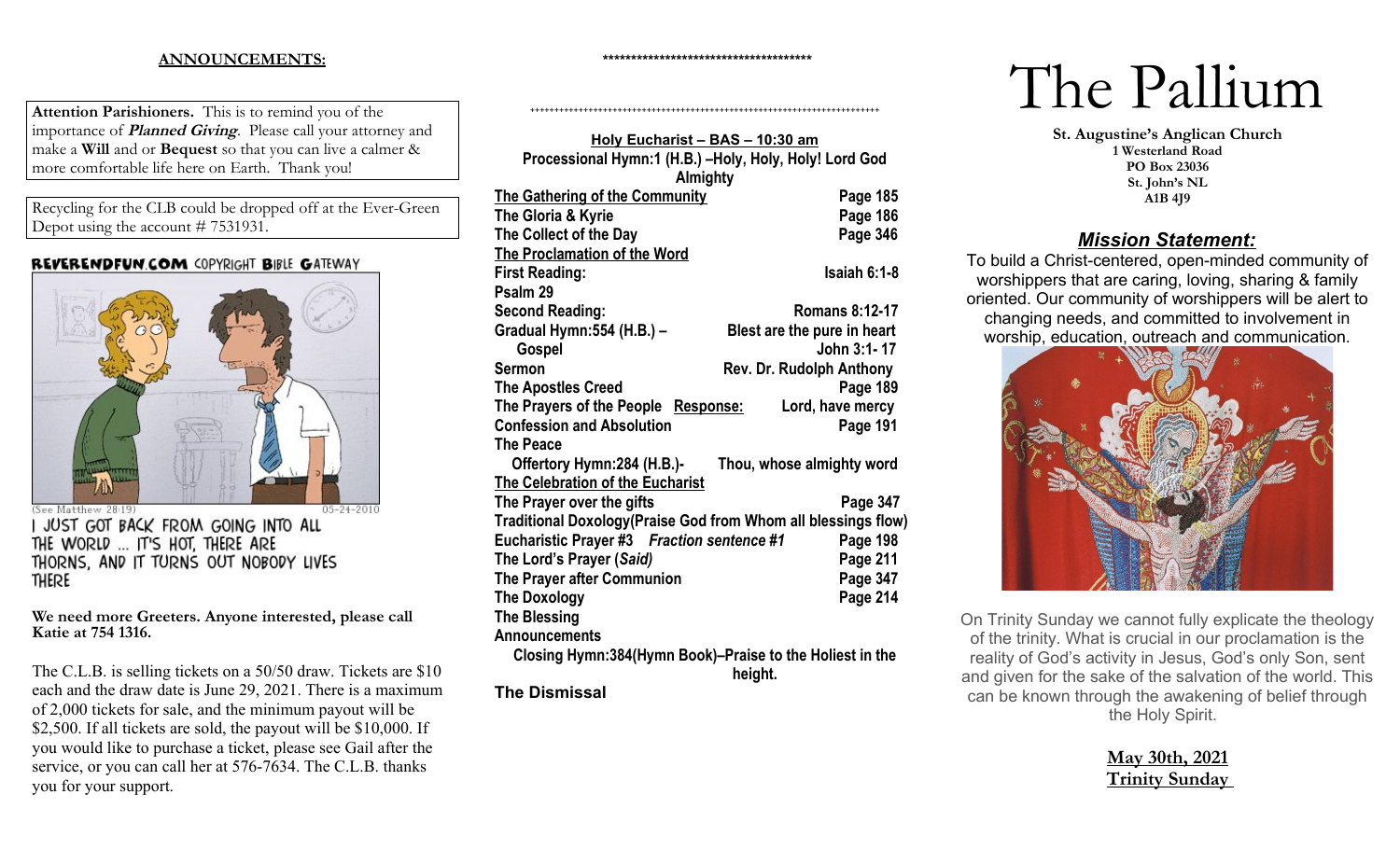### **ANNOUNCEMENTS:**

**Attention Parishioners.** This is to remind you of the importance of **Planned Giving**. Please call your attorney and make a **Will** and or **Bequest** so that you can live a calmer & more comfortable life here on Earth. Thank you!

Recycling for the CLB could be dropped off at the Ever-Green Depot using the account # 7531931.

#### **REVERENDFUN COM COPYRIGHT BIBLE GATEWAY**



JUST GOT BACK FROM GOING INTO ALL THE WORLD ... IT'S HOT, THERE ARE THORNS, AND IT TURNS OUT NOBODY LIVES **THERE** 

**We need more Greeters. Anyone interested, please call Katie at 754 1316.** 

The C.L.B. is selling tickets on a 50/50 draw. Tickets are \$10 each and the draw date is June 29, 2021. There is a maximum of 2,000 tickets for sale, and the minimum payout will be \$2,500. If all tickets are sold, the payout will be \$10,000. If you would like to purchase a ticket, please see Gail after the service, or you can call her at 576-7634. The C.L.B. thanks you for your support.

| Holy Eucharist - BAS - 10:30 am<br>Processional Hymn:1 (H.B.) -Holy, Holy, Holy! Lord God<br>Almighty |                             |
|-------------------------------------------------------------------------------------------------------|-----------------------------|
| <b>The Gathering of the Community</b>                                                                 | Page 185                    |
| The Gloria & Kyrie                                                                                    | Page 186                    |
| The Collect of the Day                                                                                | Page 346                    |
| <b>The Proclamation of the Word</b>                                                                   |                             |
| <b>First Reading:</b>                                                                                 | $Isaiah 6:1-8$              |
| Psalm 29                                                                                              |                             |
| <b>Second Reading:</b>                                                                                | <b>Romans 8:12-17</b>       |
| Gradual Hymn:554 (H.B.) –                                                                             | Blest are the pure in heart |
| Gospel                                                                                                | John 3:1-17                 |
| Sermon                                                                                                | Rev. Dr. Rudolph Anthony    |
| <b>The Apostles Creed</b>                                                                             | Page 189                    |
| The Prayers of the People Response:                                                                   | Lord, have mercy            |
| <b>Confession and Absolution</b>                                                                      | Page 191                    |
| <b>The Peace</b>                                                                                      |                             |
| Offertory Hymn:284 (H.B.)-                                                                            | Thou, whose almighty word   |
| <b>The Celebration of the Eucharist</b>                                                               |                             |
| The Prayer over the gifts                                                                             | Page 347                    |
| Traditional Doxology(Praise God from Whom all blessings flow)                                         |                             |
| Eucharistic Prayer #3 Fraction sentence #1                                                            | Page 198                    |
| The Lord's Prayer (Said)                                                                              | Page 211                    |
| The Prayer after Communion                                                                            | Page 347                    |
| <b>The Doxology</b>                                                                                   | Page 214                    |
| <b>The Blessing</b>                                                                                   |                             |
| Announcements                                                                                         |                             |
| Closing Hymn:384(Hymn Book)-Praise to the Holiest in the                                              | height.                     |
| <b>The Dismissal</b>                                                                                  |                             |

**\*\*\*\*\*\*\*\*\*\*\*\*\*\*\*\*\*\*\*\*\*\*\*\*\*\*\*\*\*\*\*\*\*\*\*\*\***

++++++++++++++++++++++++++++++++++++++++++++++++++++++++++++++++++++++++

# The Pallium

**St. Augustine's Anglican Church 1 Westerland Road PO Box 23036 St. John's NL A1B 4J9**

## *Mission Statement:*

To build a Christ-centered, open-minded community of worshippers that are caring, loving, sharing & family oriented. Our community of worshippers will be alert to changing needs, and committed to involvement in worship, education, outreach and communication.



On Trinity Sunday we cannot fully explicate the theology of the trinity. What is crucial in our proclamation is the reality of God's activity in Jesus, God's only Son, sent and given for the sake of the salvation of the world. This can be known through the awakening of belief through the Holy Spirit.

| <u>May 30th, 2021</u> |  |
|-----------------------|--|
| <u>Trinity Sunday</u> |  |